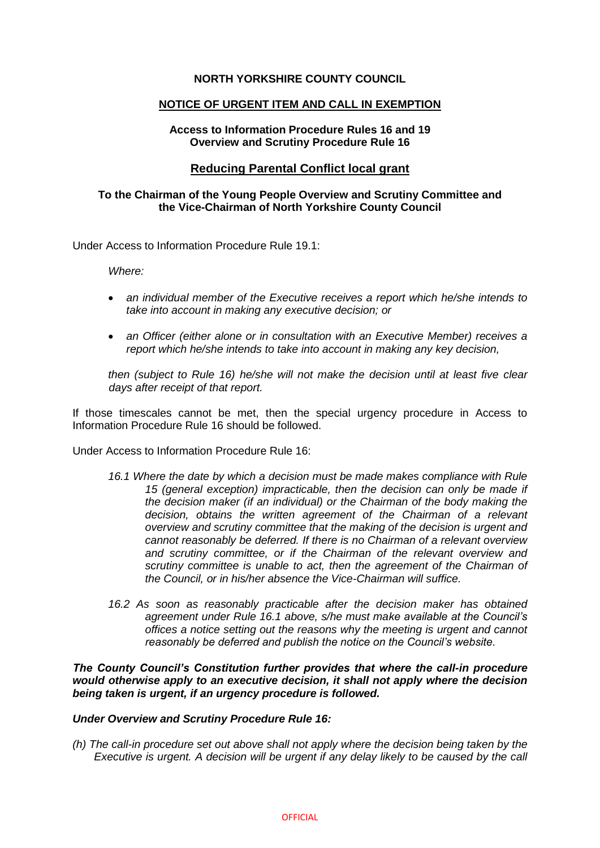# **NORTH YORKSHIRE COUNTY COUNCIL**

### **NOTICE OF URGENT ITEM AND CALL IN EXEMPTION**

### **Access to Information Procedure Rules 16 and 19 Overview and Scrutiny Procedure Rule 16**

# **Reducing Parental Conflict local grant**

# **To the Chairman of the Young People Overview and Scrutiny Committee and the Vice-Chairman of North Yorkshire County Council**

Under Access to Information Procedure Rule 19.1:

*Where:* 

- *an individual member of the Executive receives a report which he/she intends to take into account in making any executive decision; or*
- *an Officer (either alone or in consultation with an Executive Member) receives a report which he/she intends to take into account in making any key decision,*

*then (subject to Rule 16) he/she will not make the decision until at least five clear days after receipt of that report.*

If those timescales cannot be met, then the special urgency procedure in Access to Information Procedure Rule 16 should be followed.

Under Access to Information Procedure Rule 16:

- *16.1 Where the date by which a decision must be made makes compliance with Rule 15 (general exception) impracticable, then the decision can only be made if the decision maker (if an individual) or the Chairman of the body making the decision, obtains the written agreement of the Chairman of a relevant overview and scrutiny committee that the making of the decision is urgent and cannot reasonably be deferred. If there is no Chairman of a relevant overview and scrutiny committee, or if the Chairman of the relevant overview and scrutiny committee is unable to act, then the agreement of the Chairman of the Council, or in his/her absence the Vice-Chairman will suffice.*
- 16.2 As soon as reasonably practicable after the decision maker has obtained *agreement under Rule 16.1 above, s/he must make available at the Council's offices a notice setting out the reasons why the meeting is urgent and cannot reasonably be deferred and publish the notice on the Council's website.*

*The County Council's Constitution further provides that where the call-in procedure would otherwise apply to an executive decision, it shall not apply where the decision being taken is urgent, if an urgency procedure is followed.*

### *Under Overview and Scrutiny Procedure Rule 16:*

*(h) The call-in procedure set out above shall not apply where the decision being taken by the Executive is urgent. A decision will be urgent if any delay likely to be caused by the call*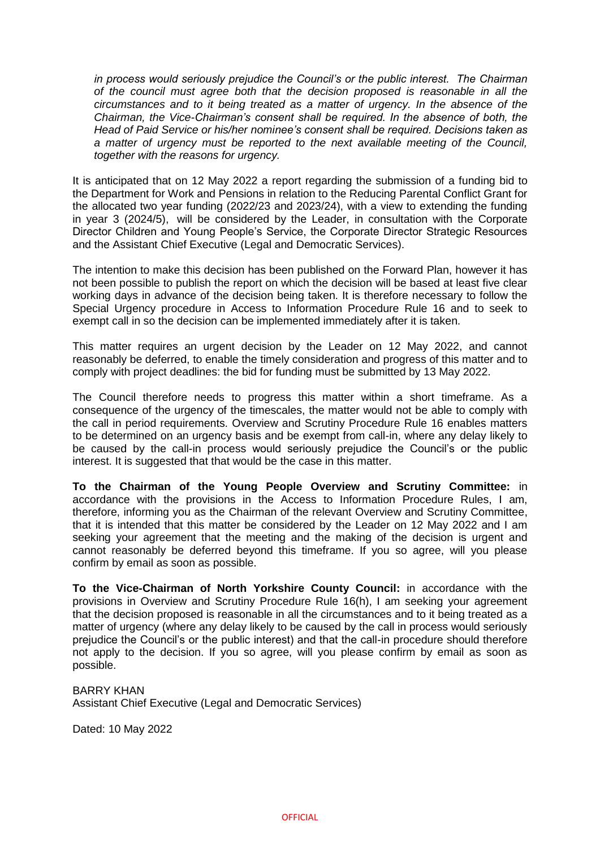*in process would seriously prejudice the Council's or the public interest. The Chairman of the council must agree both that the decision proposed is reasonable in all the circumstances and to it being treated as a matter of urgency. In the absence of the Chairman, the Vice-Chairman's consent shall be required. In the absence of both, the Head of Paid Service or his/her nominee's consent shall be required. Decisions taken as a matter of urgency must be reported to the next available meeting of the Council, together with the reasons for urgency.*

It is anticipated that on 12 May 2022 a report regarding the submission of a funding bid to the Department for Work and Pensions in relation to the Reducing Parental Conflict Grant for the allocated two year funding (2022/23 and 2023/24), with a view to extending the funding in year 3 (2024/5), will be considered by the Leader, in consultation with the Corporate Director Children and Young People's Service, the Corporate Director Strategic Resources and the Assistant Chief Executive (Legal and Democratic Services).

The intention to make this decision has been published on the Forward Plan, however it has not been possible to publish the report on which the decision will be based at least five clear working days in advance of the decision being taken. It is therefore necessary to follow the Special Urgency procedure in Access to Information Procedure Rule 16 and to seek to exempt call in so the decision can be implemented immediately after it is taken.

This matter requires an urgent decision by the Leader on 12 May 2022, and cannot reasonably be deferred, to enable the timely consideration and progress of this matter and to comply with project deadlines: the bid for funding must be submitted by 13 May 2022.

The Council therefore needs to progress this matter within a short timeframe. As a consequence of the urgency of the timescales, the matter would not be able to comply with the call in period requirements. Overview and Scrutiny Procedure Rule 16 enables matters to be determined on an urgency basis and be exempt from call-in, where any delay likely to be caused by the call-in process would seriously prejudice the Council's or the public interest. It is suggested that that would be the case in this matter.

**To the Chairman of the Young People Overview and Scrutiny Committee:** in accordance with the provisions in the Access to Information Procedure Rules, I am, therefore, informing you as the Chairman of the relevant Overview and Scrutiny Committee, that it is intended that this matter be considered by the Leader on 12 May 2022 and I am seeking your agreement that the meeting and the making of the decision is urgent and cannot reasonably be deferred beyond this timeframe. If you so agree, will you please confirm by email as soon as possible.

**To the Vice-Chairman of North Yorkshire County Council:** in accordance with the provisions in Overview and Scrutiny Procedure Rule 16(h), I am seeking your agreement that the decision proposed is reasonable in all the circumstances and to it being treated as a matter of urgency (where any delay likely to be caused by the call in process would seriously prejudice the Council's or the public interest) and that the call-in procedure should therefore not apply to the decision. If you so agree, will you please confirm by email as soon as possible.

# BARRY KHAN

Assistant Chief Executive (Legal and Democratic Services)

Dated: 10 May 2022